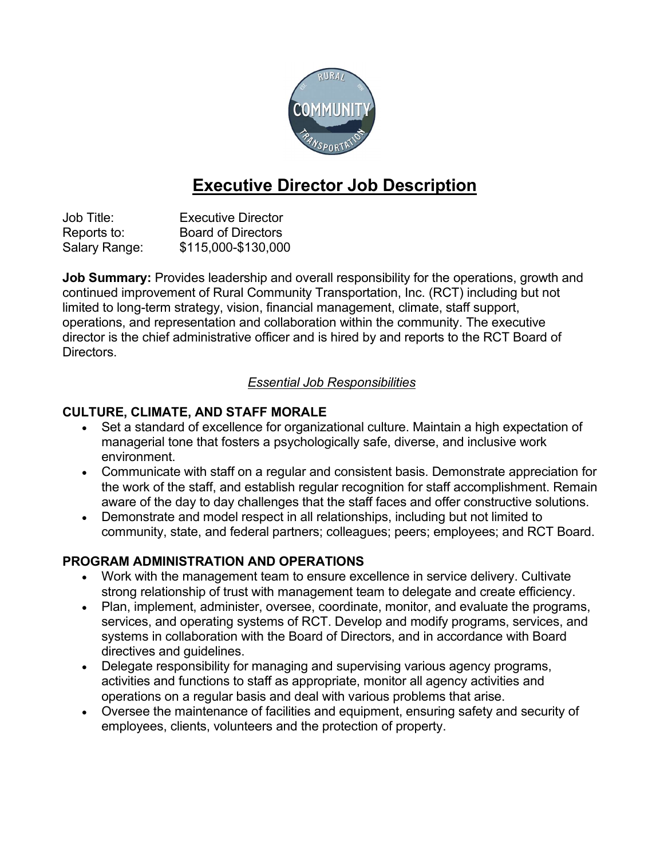

# Executive Director Job Description

Job Title: Executive Director Reports to: Board of Directors Salary Range: \$115,000-\$130,000

**Job Summary:** Provides leadership and overall responsibility for the operations, growth and continued improvement of Rural Community Transportation, Inc. (RCT) including but not limited to long-term strategy, vision, financial management, climate, staff support, operations, and representation and collaboration within the community. The executive director is the chief administrative officer and is hired by and reports to the RCT Board of Directors.

### Essential Job Responsibilities

### CULTURE, CLIMATE, AND STAFF MORALE

- Set a standard of excellence for organizational culture. Maintain a high expectation of managerial tone that fosters a psychologically safe, diverse, and inclusive work environment.
- Communicate with staff on a regular and consistent basis. Demonstrate appreciation for the work of the staff, and establish regular recognition for staff accomplishment. Remain aware of the day to day challenges that the staff faces and offer constructive solutions.
- Demonstrate and model respect in all relationships, including but not limited to community, state, and federal partners; colleagues; peers; employees; and RCT Board.

## PROGRAM ADMINISTRATION AND OPERATIONS

- Work with the management team to ensure excellence in service delivery. Cultivate strong relationship of trust with management team to delegate and create efficiency.
- Plan, implement, administer, oversee, coordinate, monitor, and evaluate the programs, services, and operating systems of RCT. Develop and modify programs, services, and systems in collaboration with the Board of Directors, and in accordance with Board directives and guidelines.
- Delegate responsibility for managing and supervising various agency programs, activities and functions to staff as appropriate, monitor all agency activities and operations on a regular basis and deal with various problems that arise.
- Oversee the maintenance of facilities and equipment, ensuring safety and security of employees, clients, volunteers and the protection of property.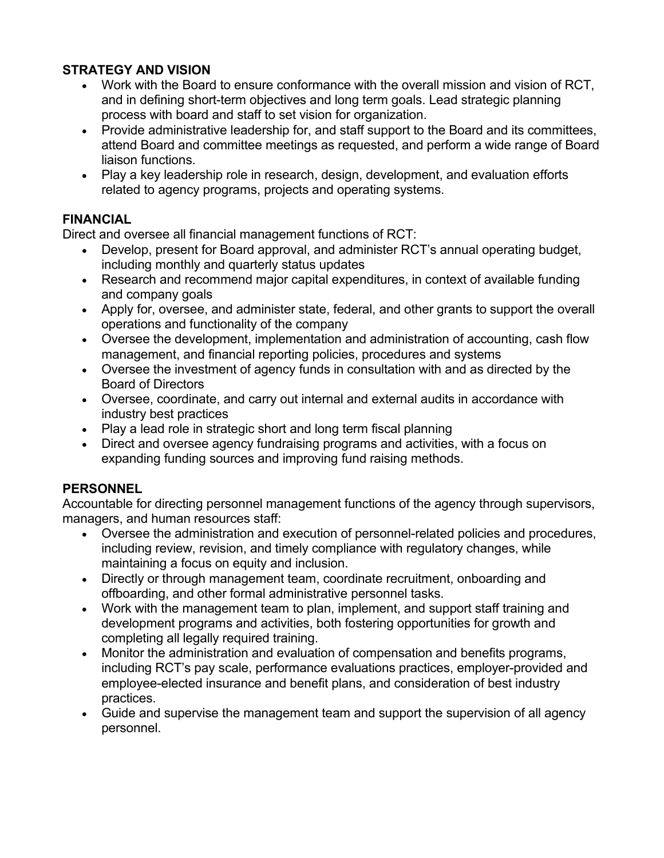## STRATEGY AND VISION

- Work with the Board to ensure conformance with the overall mission and vision of RCT, and in defining short-term objectives and long term goals. Lead strategic planning process with board and staff to set vision for organization.
- Provide administrative leadership for, and staff support to the Board and its committees, attend Board and committee meetings as requested, and perform a wide range of Board liaison functions.
- Play a key leadership role in research, design, development, and evaluation efforts related to agency programs, projects and operating systems.

## FINANCIAL

Direct and oversee all financial management functions of RCT:

- Develop, present for Board approval, and administer RCT's annual operating budget, including monthly and quarterly status updates
- Research and recommend major capital expenditures, in context of available funding and company goals
- Apply for, oversee, and administer state, federal, and other grants to support the overall operations and functionality of the company
- Oversee the development, implementation and administration of accounting, cash flow management, and financial reporting policies, procedures and systems
- Oversee the investment of agency funds in consultation with and as directed by the Board of Directors
- Oversee, coordinate, and carry out internal and external audits in accordance with industry best practices
- Play a lead role in strategic short and long term fiscal planning
- Direct and oversee agency fundraising programs and activities, with a focus on expanding funding sources and improving fund raising methods.

## **PERSONNEL**

Accountable for directing personnel management functions of the agency through supervisors, managers, and human resources staff:

- Oversee the administration and execution of personnel-related policies and procedures, including review, revision, and timely compliance with regulatory changes, while maintaining a focus on equity and inclusion.
- Directly or through management team, coordinate recruitment, onboarding and offboarding, and other formal administrative personnel tasks.
- Work with the management team to plan, implement, and support staff training and development programs and activities, both fostering opportunities for growth and completing all legally required training.
- Monitor the administration and evaluation of compensation and benefits programs, including RCT's pay scale, performance evaluations practices, employer-provided and employee-elected insurance and benefit plans, and consideration of best industry practices.
- Guide and supervise the management team and support the supervision of all agency personnel.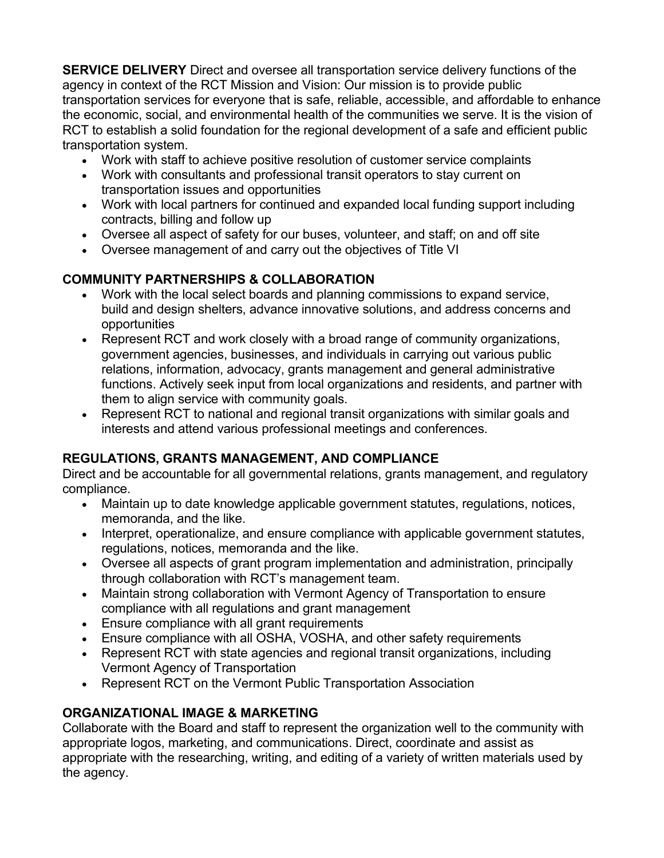SERVICE DELIVERY Direct and oversee all transportation service delivery functions of the agency in context of the RCT Mission and Vision: Our mission is to provide public transportation services for everyone that is safe, reliable, accessible, and affordable to enhance the economic, social, and environmental health of the communities we serve. It is the vision of RCT to establish a solid foundation for the regional development of a safe and efficient public transportation system.

- Work with staff to achieve positive resolution of customer service complaints
- Work with consultants and professional transit operators to stay current on transportation issues and opportunities
- Work with local partners for continued and expanded local funding support including contracts, billing and follow up
- Oversee all aspect of safety for our buses, volunteer, and staff; on and off site
- Oversee management of and carry out the objectives of Title VI

# COMMUNITY PARTNERSHIPS & COLLABORATION

- Work with the local select boards and planning commissions to expand service, build and design shelters, advance innovative solutions, and address concerns and opportunities
- Represent RCT and work closely with a broad range of community organizations, government agencies, businesses, and individuals in carrying out various public relations, information, advocacy, grants management and general administrative functions. Actively seek input from local organizations and residents, and partner with them to align service with community goals.
- Represent RCT to national and regional transit organizations with similar goals and interests and attend various professional meetings and conferences.

# REGULATIONS, GRANTS MANAGEMENT, AND COMPLIANCE

Direct and be accountable for all governmental relations, grants management, and regulatory compliance.

- Maintain up to date knowledge applicable government statutes, regulations, notices, memoranda, and the like.
- Interpret, operationalize, and ensure compliance with applicable government statutes, regulations, notices, memoranda and the like.
- Oversee all aspects of grant program implementation and administration, principally through collaboration with RCT's management team.
- Maintain strong collaboration with Vermont Agency of Transportation to ensure compliance with all regulations and grant management
- Ensure compliance with all grant requirements
- Ensure compliance with all OSHA, VOSHA, and other safety requirements
- Represent RCT with state agencies and regional transit organizations, including Vermont Agency of Transportation
- Represent RCT on the Vermont Public Transportation Association

# ORGANIZATIONAL IMAGE & MARKETING

Collaborate with the Board and staff to represent the organization well to the community with appropriate logos, marketing, and communications. Direct, coordinate and assist as appropriate with the researching, writing, and editing of a variety of written materials used by the agency.